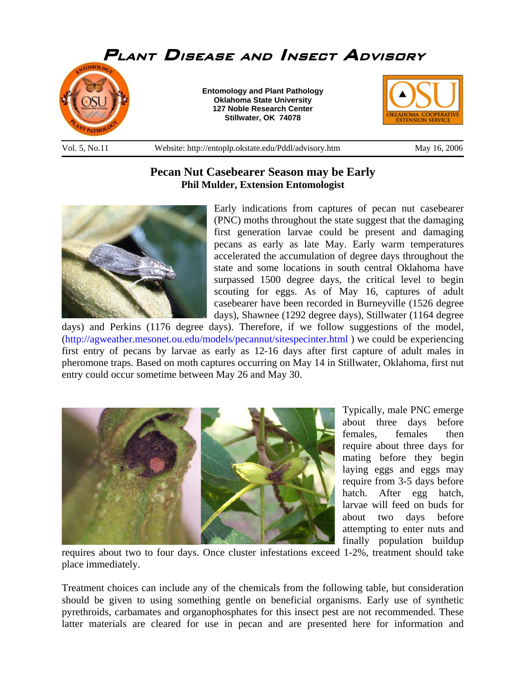

## **Pecan Nut Casebearer Season may be Early Phil Mulder, Extension Entomologist**



Early indications from captures of pecan nut casebearer (PNC) moths throughout the state suggest that the damaging first generation larvae could be present and damaging pecans as early as late May. Early warm temperatures accelerated the accumulation of degree days throughout the state and some locations in south central Oklahoma have surpassed 1500 degree days, the critical level to begin scouting for eggs. As of May 16, captures of adult casebearer have been recorded in Burneyville (1526 degree days), Shawnee (1292 degree days), Stillwater (1164 degree

days) and Perkins (1176 degree days). Therefore, if we follow suggestions of the model, (http://agweather.mesonet.ou.edu/models/pecannut/sitespecinter.html ) we could be experiencing first entry of pecans by larvae as early as 12-16 days after first capture of adult males in pheromone traps. Based on moth captures occurring on May 14 in Stillwater, Oklahoma, first nut entry could occur sometime between May 26 and May 30.



Typically, male PNC emerge about three days before females, females then require about three days for mating before they begin laying eggs and eggs may require from 3-5 days before hatch. After egg hatch, larvae will feed on buds for about two days before attempting to enter nuts and finally population buildup

requires about two to four days. Once cluster infestations exceed 1-2%, treatment should take place immediately.

Treatment choices can include any of the chemicals from the following table, but consideration should be given to using something gentle on beneficial organisms. Early use of synthetic pyrethroids, carbamates and organophosphates for this insect pest are not recommended. These latter materials are cleared for use in pecan and are presented here for information and